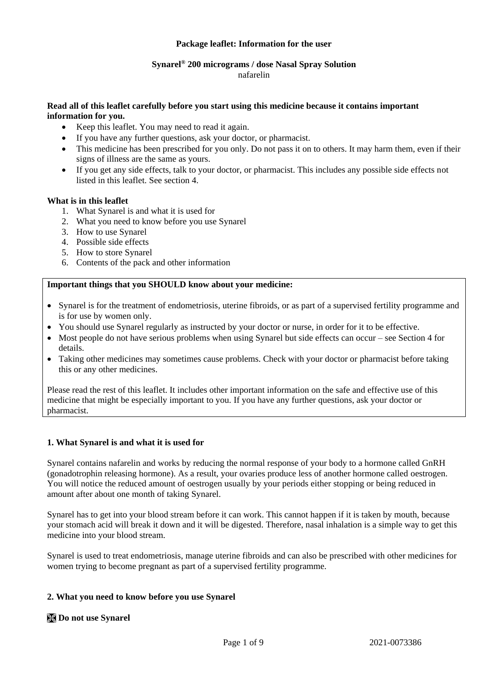## **Package leaflet: Information for the user**

# **Synarel® 200 micrograms / dose Nasal Spray Solution**

nafarelin

## **Read all of this leaflet carefully before you start using this medicine because it contains important information for you.**

- Keep this leaflet. You may need to read it again.
- If you have any further questions, ask your doctor, or pharmacist.
- This medicine has been prescribed for you only. Do not pass it on to others. It may harm them, even if their signs of illness are the same as yours.
- If you get any side effects, talk to your doctor, or pharmacist. This includes any possible side effects not listed in this leaflet. See section 4.

# **What is in this leaflet**

- 1. What Synarel is and what it is used for
- 2. What you need to know before you use Synarel
- 3. How to use Synarel
- 4. Possible side effects
- 5. How to store Synarel
- 6. Contents of the pack and other information

## **Important things that you SHOULD know about your medicine:**

- Synarel is for the treatment of endometriosis, uterine fibroids, or as part of a supervised fertility programme and is for use by women only.
- You should use Synarel regularly as instructed by your doctor or nurse, in order for it to be effective.
- Most people do not have serious problems when using Synarel but side effects can occur see Section 4 for details.
- Taking other medicines may sometimes cause problems. Check with your doctor or pharmacist before taking this or any other medicines.

Please read the rest of this leaflet. It includes other important information on the safe and effective use of this medicine that might be especially important to you. If you have any further questions, ask your doctor or pharmacist.

## **1. What Synarel is and what it is used for**

Synarel contains nafarelin and works by reducing the normal response of your body to a hormone called GnRH (gonadotrophin releasing hormone). As a result, your ovaries produce less of another hormone called oestrogen. You will notice the reduced amount of oestrogen usually by your periods either stopping or being reduced in amount after about one month of taking Synarel.

Synarel has to get into your blood stream before it can work. This cannot happen if it is taken by mouth, because your stomach acid will break it down and it will be digested. Therefore, nasal inhalation is a simple way to get this medicine into your blood stream.

Synarel is used to treat endometriosis, manage uterine fibroids and can also be prescribed with other medicines for women trying to become pregnant as part of a supervised fertility programme.

## **2. What you need to know before you use Synarel**

# **Do not use Synarel**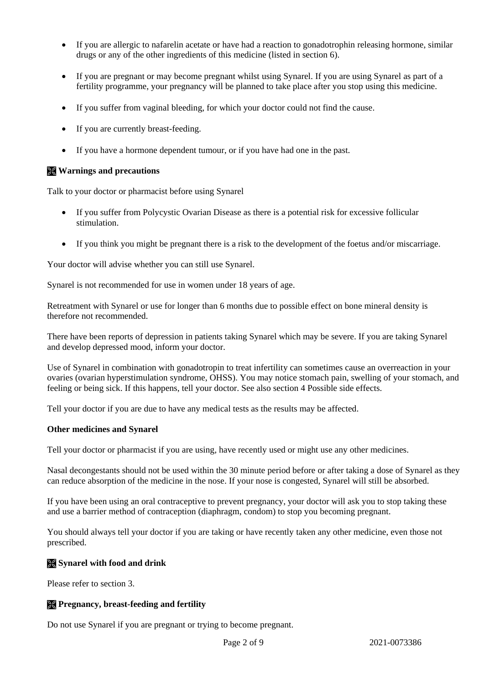- If you are allergic to nafarelin acetate or have had a reaction to gonadotrophin releasing hormone, similar drugs or any of the other ingredients of this medicine (listed in section 6).
- If you are pregnant or may become pregnant whilst using Synarel. If you are using Synarel as part of a fertility programme, your pregnancy will be planned to take place after you stop using this medicine.
- If you suffer from vaginal bleeding, for which your doctor could not find the cause.
- If you are currently breast-feeding.
- If you have a hormone dependent tumour, or if you have had one in the past.

## **Warnings and precautions**

Talk to your doctor or pharmacist before using Synarel

- If you suffer from Polycystic Ovarian Disease as there is a potential risk for excessive follicular stimulation.
- If you think you might be pregnant there is a risk to the development of the foetus and/or miscarriage.

Your doctor will advise whether you can still use Synarel.

Synarel is not recommended for use in women under 18 years of age.

Retreatment with Synarel or use for longer than 6 months due to possible effect on bone mineral density is therefore not recommended.

There have been reports of depression in patients taking Synarel which may be severe. If you are taking Synarel and develop depressed mood, inform your doctor.

Use of Synarel in combination with gonadotropin to treat infertility can sometimes cause an overreaction in your ovaries (ovarian hyperstimulation syndrome, OHSS). You may notice stomach pain, swelling of your stomach, and feeling or being sick. If this happens, tell your doctor. See also section 4 Possible side effects.

Tell your doctor if you are due to have any medical tests as the results may be affected.

#### **Other medicines and Synarel**

Tell your doctor or pharmacist if you are using, have recently used or might use any other medicines.

Nasal decongestants should not be used within the 30 minute period before or after taking a dose of Synarel as they can reduce absorption of the medicine in the nose. If your nose is congested, Synarel will still be absorbed.

If you have been using an oral contraceptive to prevent pregnancy, your doctor will ask you to stop taking these and use a barrier method of contraception (diaphragm, condom) to stop you becoming pregnant.

You should always tell your doctor if you are taking or have recently taken any other medicine, even those not prescribed.

## **Synarel with food and drink**

Please refer to section 3.

## **Pregnancy, breast-feeding and fertility**

Do not use Synarel if you are pregnant or trying to become pregnant.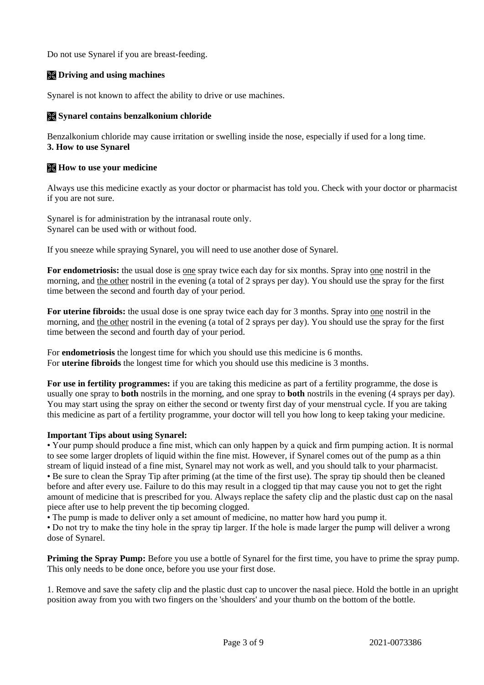Do not use Synarel if you are breast-feeding.

# **Driving and using machines**

Synarel is not known to affect the ability to drive or use machines.

# **Synarel contains benzalkonium chloride**

Benzalkonium chloride may cause irritation or swelling inside the nose, especially if used for a long time. **3. How to use Synarel**

## **How to use your medicine**

Always use this medicine exactly as your doctor or pharmacist has told you. Check with your doctor or pharmacist if you are not sure.

Synarel is for administration by the intranasal route only. Synarel can be used with or without food.

If you sneeze while spraying Synarel, you will need to use another dose of Synarel.

**For endometriosis:** the usual dose is one spray twice each day for six months. Spray into one nostril in the morning, and the other nostril in the evening (a total of 2 sprays per day). You should use the spray for the first time between the second and fourth day of your period.

**For uterine fibroids:** the usual dose is one spray twice each day for 3 months. Spray into one nostril in the morning, and the other nostril in the evening (a total of 2 sprays per day). You should use the spray for the first time between the second and fourth day of your period.

For **endometriosis** the longest time for which you should use this medicine is 6 months. For **uterine fibroids** the longest time for which you should use this medicine is 3 months.

**For use in fertility programmes:** if you are taking this medicine as part of a fertility programme, the dose is usually one spray to **both** nostrils in the morning, and one spray to **both** nostrils in the evening (4 sprays per day). You may start using the spray on either the second or twenty first day of your menstrual cycle. If you are taking this medicine as part of a fertility programme, your doctor will tell you how long to keep taking your medicine.

## **Important Tips about using Synarel:**

• Your pump should produce a fine mist, which can only happen by a quick and firm pumping action. It is normal to see some larger droplets of liquid within the fine mist. However, if Synarel comes out of the pump as a thin stream of liquid instead of a fine mist, Synarel may not work as well, and you should talk to your pharmacist. • Be sure to clean the Spray Tip after priming (at the time of the first use). The spray tip should then be cleaned before and after every use. Failure to do this may result in a clogged tip that may cause you not to get the right amount of medicine that is prescribed for you. Always replace the safety clip and the plastic dust cap on the nasal piece after use to help prevent the tip becoming clogged.

• The pump is made to deliver only a set amount of medicine, no matter how hard you pump it.

• Do not try to make the tiny hole in the spray tip larger. If the hole is made larger the pump will deliver a wrong dose of Synarel.

**Priming the Spray Pump:** Before you use a bottle of Synarel for the first time, you have to prime the spray pump. This only needs to be done once, before you use your first dose.

1. Remove and save the safety clip and the plastic dust cap to uncover the nasal piece. Hold the bottle in an upright position away from you with two fingers on the 'shoulders' and your thumb on the bottom of the bottle.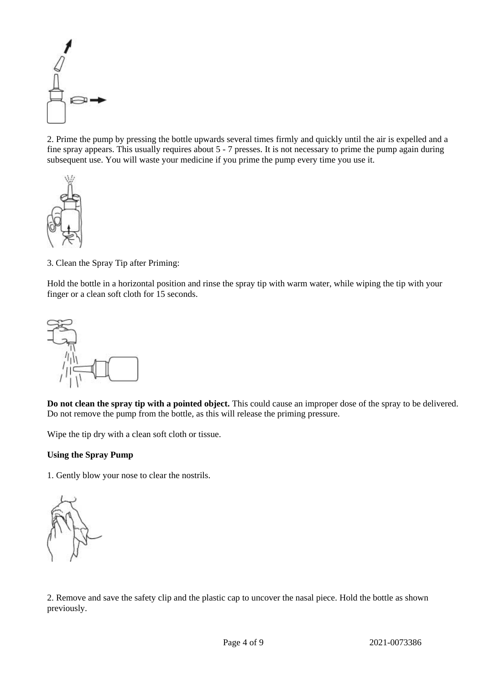

2. Prime the pump by pressing the bottle upwards several times firmly and quickly until the air is expelled and a fine spray appears. This usually requires about 5 - 7 presses. It is not necessary to prime the pump again during subsequent use. You will waste your medicine if you prime the pump every time you use it.



3. Clean the Spray Tip after Priming:

Hold the bottle in a horizontal position and rinse the spray tip with warm water, while wiping the tip with your finger or a clean soft cloth for 15 seconds.



**Do not clean the spray tip with a pointed object.** This could cause an improper dose of the spray to be delivered. Do not remove the pump from the bottle, as this will release the priming pressure.

Wipe the tip dry with a clean soft cloth or tissue.

## **Using the Spray Pump**

1. Gently blow your nose to clear the nostrils.

2. Remove and save the safety clip and the plastic cap to uncover the nasal piece. Hold the bottle as shown previously.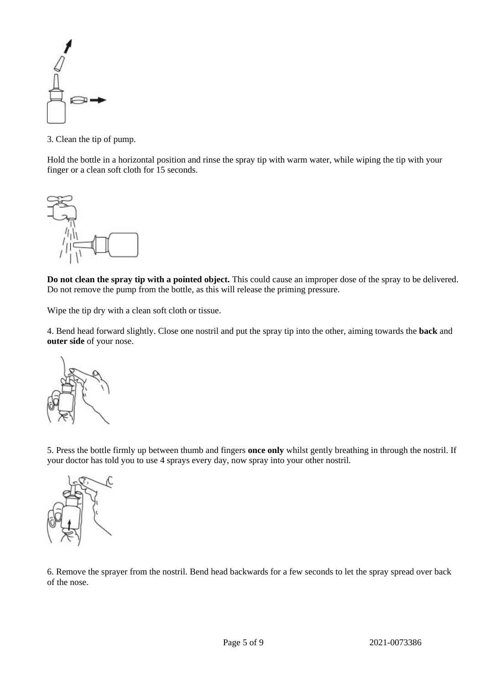

3. Clean the tip of pump.

Hold the bottle in a horizontal position and rinse the spray tip with warm water, while wiping the tip with your finger or a clean soft cloth for 15 seconds.



**Do not clean the spray tip with a pointed object.** This could cause an improper dose of the spray to be delivered. Do not remove the pump from the bottle, as this will release the priming pressure.

Wipe the tip dry with a clean soft cloth or tissue.

4. Bend head forward slightly. Close one nostril and put the spray tip into the other, aiming towards the **back** and **outer side** of your nose.



5. Press the bottle firmly up between thumb and fingers **once only** whilst gently breathing in through the nostril. If your doctor has told you to use 4 sprays every day, now spray into your other nostril.



6. Remove the sprayer from the nostril. Bend head backwards for a few seconds to let the spray spread over back of the nose.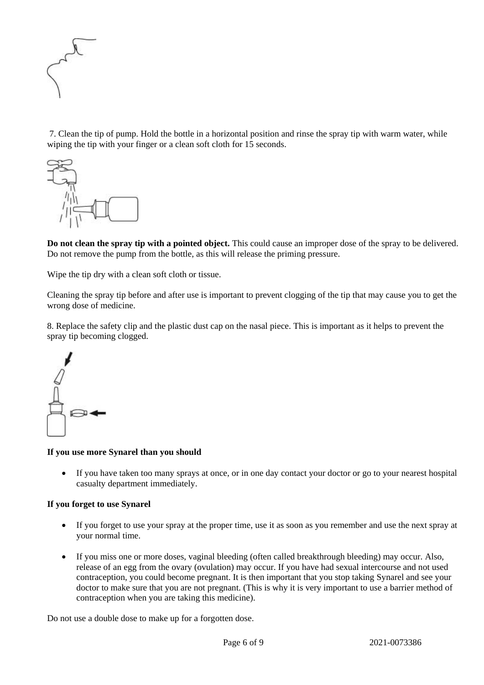

7. Clean the tip of pump. Hold the bottle in a horizontal position and rinse the spray tip with warm water, while wiping the tip with your finger or a clean soft cloth for 15 seconds.



**Do not clean the spray tip with a pointed object.** This could cause an improper dose of the spray to be delivered. Do not remove the pump from the bottle, as this will release the priming pressure.

Wipe the tip dry with a clean soft cloth or tissue.

Cleaning the spray tip before and after use is important to prevent clogging of the tip that may cause you to get the wrong dose of medicine.

8. Replace the safety clip and the plastic dust cap on the nasal piece. This is important as it helps to prevent the spray tip becoming clogged.



#### **If you use more Synarel than you should**

 If you have taken too many sprays at once, or in one day contact your doctor or go to your nearest hospital casualty department immediately.

## **If you forget to use Synarel**

- If you forget to use your spray at the proper time, use it as soon as you remember and use the next spray at your normal time.
- If you miss one or more doses, vaginal bleeding (often called breakthrough bleeding) may occur. Also, release of an egg from the ovary (ovulation) may occur. If you have had sexual intercourse and not used contraception, you could become pregnant. It is then important that you stop taking Synarel and see your doctor to make sure that you are not pregnant. (This is why it is very important to use a barrier method of contraception when you are taking this medicine).

Do not use a double dose to make up for a forgotten dose.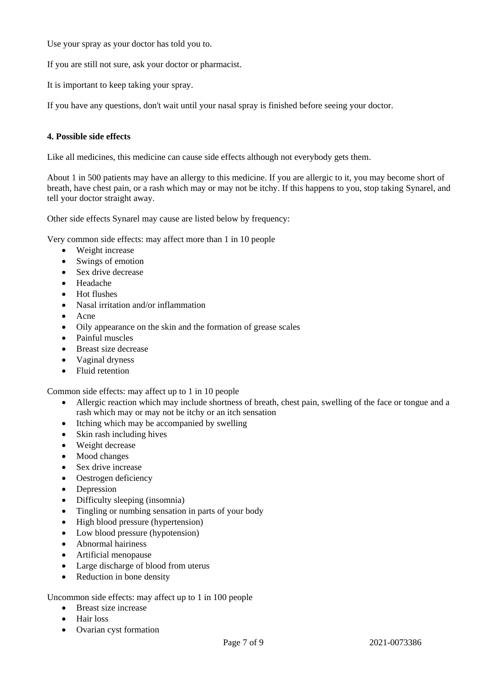Use your spray as your doctor has told you to.

If you are still not sure, ask your doctor or pharmacist.

It is important to keep taking your spray.

If you have any questions, don't wait until your nasal spray is finished before seeing your doctor.

## **4. Possible side effects**

Like all medicines, this medicine can cause side effects although not everybody gets them.

About 1 in 500 patients may have an allergy to this medicine. If you are allergic to it, you may become short of breath, have chest pain, or a rash which may or may not be itchy. If this happens to you, stop taking Synarel, and tell your doctor straight away.

Other side effects Synarel may cause are listed below by frequency:

Very common side effects: may affect more than 1 in 10 people

- Weight increase
- Swings of emotion
- Sex drive decrease
- Headache
- Hot flushes
- Nasal irritation and/or inflammation
- Acne
- Oily appearance on the skin and the formation of grease scales
- Painful muscles
- Breast size decrease
- Vaginal dryness
- Fluid retention

Common side effects: may affect up to 1 in 10 people

- Allergic reaction which may include shortness of breath, chest pain, swelling of the face or tongue and a rash which may or may not be itchy or an itch sensation
- Itching which may be accompanied by swelling
- Skin rash including hives
- Weight decrease
- Mood changes
- Sex drive increase
- Oestrogen deficiency
- Depression
- Difficulty sleeping (insomnia)
- Tingling or numbing sensation in parts of your body
- High blood pressure (hypertension)
- Low blood pressure (hypotension)
- Abnormal hairiness
- Artificial menopause
- Large discharge of blood from uterus
- Reduction in bone density

Uncommon side effects: may affect up to 1 in 100 people

- Breast size increase
- Hair loss
- Ovarian cyst formation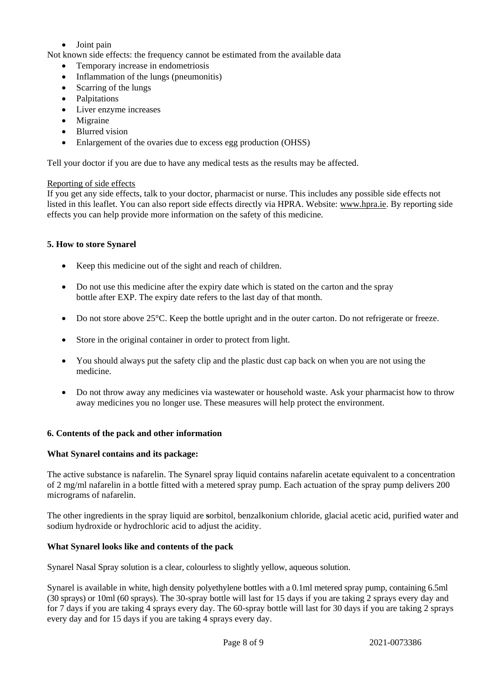- Joint pain
- Not known side effects: the frequency cannot be estimated from the available data
	- Temporary increase in endometriosis
	- Inflammation of the lungs (pneumonitis)
	- Scarring of the lungs
	- Palpitations
	- Liver enzyme increases
	- Migraine
	- Blurred vision
	- Enlargement of the ovaries due to excess egg production (OHSS)

Tell your doctor if you are due to have any medical tests as the results may be affected.

#### Reporting of side effects

If you get any side effects, talk to your doctor, pharmacist or nurse. This includes any possible side effects not listed in this leaflet. You can also report side effects directly via HPRA. Website: [www.hpra.ie.](http://www.hpra.ie/) By reporting side effects you can help provide more information on the safety of this medicine.

## **5. How to store Synarel**

- Keep this medicine out of the sight and reach of children.
- Do not use this medicine after the expiry date which is stated on the carton and the spray bottle after EXP. The expiry date refers to the last day of that month.
- Do not store above 25°C. Keep the bottle upright and in the outer carton. Do not refrigerate or freeze.
- Store in the original container in order to protect from light.
- You should always put the safety clip and the plastic dust cap back on when you are not using the medicine.
- Do not throw away any medicines via wastewater or household waste. Ask your pharmacist how to throw away medicines you no longer use. These measures will help protect the environment.

## **6. Contents of the pack and other information**

## **What Synarel contains and its package:**

The active substance is nafarelin. The Synarel spray liquid contains nafarelin acetate equivalent to a concentration of 2 mg/ml nafarelin in a bottle fitted with a metered spray pump. Each actuation of the spray pump delivers 200 micrograms of nafarelin.

The other ingredients in the spray liquid are **s**orbitol, benzalkonium chloride, glacial acetic acid, purified water and sodium hydroxide or hydrochloric acid to adjust the acidity.

## **What Synarel looks like and contents of the pack**

Synarel Nasal Spray solution is a clear, colourless to slightly yellow, aqueous solution.

Synarel is available in white, high density polyethylene bottles with a 0.1ml metered spray pump, containing 6.5ml (30 sprays) or 10ml (60 sprays). The 30-spray bottle will last for 15 days if you are taking 2 sprays every day and for 7 days if you are taking 4 sprays every day. The 60-spray bottle will last for 30 days if you are taking 2 sprays every day and for 15 days if you are taking 4 sprays every day.